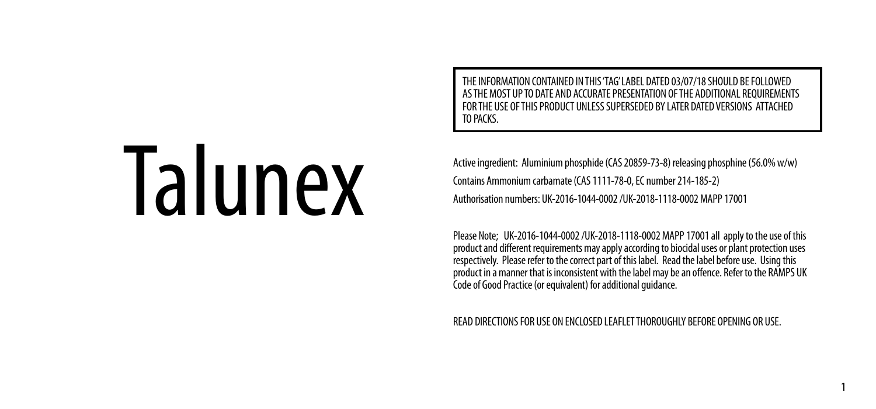ION CONTAINED IN THIS 'TAG' LABEL DATED 03/07/18 SHOULD BE FOLLOWED AS THE MOST UP TO DATE AND ACCURATE PRESENTATION OF THE ADDITIONAL REQUIREMENTS FOR THE USE OF THIS PRODUCT UNLESS SUPERSEDED BY LATER DATED VERSIONS ATTACHED TO PACKS.

# Talunex

 $1$ 

Active ingredient: Aluminium phosphide (CAS 20859-73-8) releasing phosphine (56.0% w/w) Contains Ammonium carbamate (CAS 1111-78-0, EC number 214-185-2) Authorisation numbers: UK-2016-1044-0002 /UK-2018-1118-0002 MAPP 17001

Please Note; UK-2016-1044-0002 /UK-2018-1118-0002 MAPP 17001 all apply to the use of this<br>product and different requirements may apply according to biocidal uses or plant protection uses<br>respectively. Please refer to t product in a manner that is inconsistent with the label may be an offence. Refer to the RAMPS UK Code of Good Practice (or equivalent) for additional guidance.

READ DIRECTIONS FOR USE ON ENCLOSED LEAFLET THOROUGHLY BEFORE OPENING OR USE.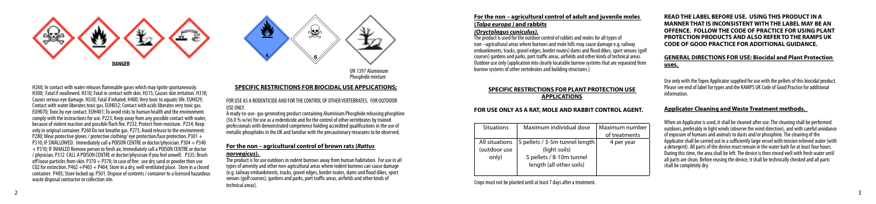



UN 1397 Aluminium Phosphide mixture

H260; In contact with water releases flammable gases which may ignite spontaneously. H300; Fatal if swallowed. H310; Fatal in contact with skin. H315; Causes skin irritation. H318; Causes serious eye damage. H330; Fatal if inhaled. H400; Very toxic to aquatic life. EUH029; Contact with water liberates toxic gas. EUH032; Contact with acids liberates very toxic gas. EUH070; Toxic by eye contact. EUH401; To avoid risks to human health and the environment comply with the instructions for use. P223; Keep away from any possible contact with water, because of violent reaction and possible flash fire. P232; Protect from moisture. P234; Keep only in original container. P260 Do not breathe gas. P273; Avoid release to the environment. P280; Wear protective gloves / protective clothing/ eye protection/face protection. P301 + P310; IF SWALLOWED: Immediately call a POISON CENTRE or doctor/physician. P304 + P340 + P310; IF INHALED Remove person to fresh air, Immediately call a POISON CENTRE or doctor / physician. P312 CALL A POISON CENTRE or doctor/physician if you feel unwell. P335; Brush off loose particles from skin. P370  $+$  P378; In case of fire: use dry sand or powder then use CO2 for extinction. P402 +P403 + P404; Store in a dry, well ventilated place. Store in a closed container. P405; Store locked up. P501. Dispose of contents / container to a licensed hazardous waste disposal contractor or collection site.

# **SPECIFIC RESTRICTIONS FOR BIOCIDAL USE APPLICATIONS;**

FOR USE AS A RODENTICIDE AND FOR THE CONTROL OF OTHER VERTEBRATES. FOR OUTDOOR USE ONLY.

A ready-to-use- gas generating product containing Aluminium Phosphide releasing phosphine (56.0 % w/w) for use as a rodenticide and for the control of other vertebrates by trained professionals with demonstrated competence holding accredited qualifications in the use of metallic phosphides in the UK and familiar with the precautionary measures to be observed.

# **For the non – agricultural control of brown rats (***Rattus*

# *norvegicus***).**

The product is for use outdoors in rodent burrows away from human habitation. For use in all types of amenity and other non-agricultural areas where rodent burrows can cause damage (e.g. railway embankments, tracks, gravel edges, border routes, dams and flood dikes, sport venues (golf courses), gardens and parks, port traffic areas, airfields and other kinds of technical areas).

**For the non – agricultural control of adult and juvenile moles (***Talpa europa )* **and rabbits**

# *(Oryctolagus cuniculus).*

The product is used for the outdoor control of rabbits and moles for all types of non –agricultural areas where burrows and mole hills may cause damage e.g. railway embankments, tracks, gravel edges, border routes) dams and flood dikes, sport venues (golf courses) gardens and parks, port traffic areas, airfields and other kinds of technical areas. Outdoor use only (application into clearly locatable burrow systems that are separated from burrow systems of other vertebrates and building structures.)

# **SPECIFIC RESTRICTIONS FOR PLANT PROTECTION USE APPLICATIONS**

### **FOR USE ONLY AS A RAT, MOLE AND RABBIT CONTROL AGENT.**

| <b>Situations</b> | Maximum individual dose        | Maximum number |
|-------------------|--------------------------------|----------------|
|                   |                                | of treatments  |
| All situations    | 5 pellets / 3-5m tunnel length | 4 per year     |
| (outdoor use      | (light soils)                  |                |
| only)             | 5 pellets / 8-10m tunnel       |                |
|                   | length (all other soils)       |                |
|                   |                                |                |

### Crops must not be planted until at least 7 days after a treatment.

**READ THE LABEL BEFORE USE. USING THIS PRODUCT IN A MANNER THAT IS INCONSISTENT WITH THE LABEL MAY BE AN OFFENCE. FOLLOW THE CODE OF PRACTICE FOR USING PLANT PROTECTION PRODUCTS AND ALSO REFER TO THE RAMPS UK CODE OF GOOD PRACTICE FOR ADDITIONAL GUIDANCE.**

# **GENERAL DIRECTIONS FOR USE: Biocidal and Plant Protection uses.**

Use only with the Topex Applicator supplied for use with the pellets of this biocidal product. Please see end of label for types and the RAMPS UK Code of Good Practice for additional information.

# **Applicator Cleaning and Waste Treatment methods.**

When an Applicator is used, it shall be cleaned after use. The cleaning shall be performed outdoors, preferably in light winds (observe the wind direction), and with careful avoidance of exposure of humans and animals to dusts and/or phosphine. The cleaning of the Applicator shall be carried out in a sufficiently large vessel with tension relieved water (with a detergent). All parts of the device must remain in the water bath for at least four hours. During this time, the area shall be left. The device is then rinsed well with fresh water until all parts are clean. Before reusing the device, it shall be technically checked and all parts shall be completely dry.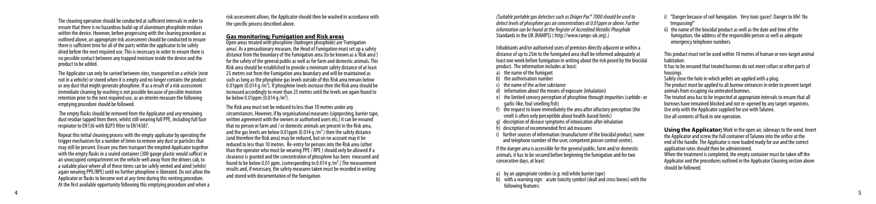The cleaning operation should be conducted at sufficient intervals in order to ensure that there is no hazardous build-up of aluminium phosphide residues within the device. However, before progressing with the cleaning procedure as outlined above, an appropriate risk assessment should be conducted to ensure there is sufficient time for all of the parts within the applicator to be safely dried before the next required use. This is necessary in order to ensure there is no possible contact between any trapped moisture inside the device and the product to be added.

The Applicator can only be carried between sites, transported on a vehicle (note not in a vehicle) or stored when it is empty and no longer contains the product or any dust that might generate phosphine. If as a result of a risk assessment immediate cleaning by washing is not possible because of possible moisture retention prior to the next required use, as an interim measure the following emptying procedure should be followed.

 The empty flasks should be removed from the Applicator and any remaining dust residue tapped from them, whilst still wearing full PPE, including full face respirator to EN136 with B2P3 filter to EN14387.

Repeat this initial cleaning process with the empty applicator by operating the trigger mechanism for a number of times to remove any dust or particles that may still be present. Ensure you then transport the emptied Applicator together with the empty flasks in a sealed container (300 gauge plastic would suffice) in an unoccupied compartment on the vehicle well away from the drivers cab, to a suitable place where all of these items can be safely vented and aired (whilst again wearing PPE/RPE) until no further phosphine is liberated. Do not allow the Applicator or flasks to become wet at any time during this venting procedure. At the first available opportunity following this emptying procedure and when a

4

risk assessment allows, the Applicator should then be washed in accordance with the specific process described above.

# **Gas monitoring; Fumigation and Risk areas**

Open areas treated with phosphine (hydrogen phosphide) are 'Fumigation areas'. As a precautionary measure, the Head of Fumigation must set up a safety distance from the boundary of the Fumigation area (to be known as a 'Risk area') for the safety of the general public as well as for farm and domestic animals. This Risk area should be established to provide a minimum safety distance of at least 25 metres out from the Fumigation area boundary and will be maintained as such as long as the phosphine gas levels outside of this Risk area remain below 0.01ppm (0.014 g  $\overline{m}^3$ ). If phosphine levels increase then the Risk area should be increased accordingly to more than 25 metres until the levels are again found to be below 0.01ppm  $(0.014 \text{ g/m}^3)$ .

The Risk area must not be reduced to less than 10 metres under any circumstances. However, if by organisational measures (signposting, barrier tape, written agreement with the owners or authorised users etc.) it can be ensured that no person or farm and / or domestic animals are present in the Risk area, and the gas levels are below 0.01ppm (0.014 g /m<sup>3</sup>) then the safety distance (and therefore the Risk area) may be reduced, but on no account may it be reduced to less than 10 metres. Re-entry for persons into the Risk area (other than the operator who must be wearing PPE / RPE ) should only be allowed if a clearance is granted and the concentration of phosphine has been measured and found to be below 0.01 ppm, (corresponding to 0.014 g /m<sup>3</sup>.) The measurement results and, if necessary, the safety measures taken must be recorded in writing and stored with documentation of the fumigation.

*(Suitable portable gas detectors such as Dräger Pac® 7000 should be used to detect levels of phosphine gas air concentrations at 0.01ppm or above. Further information can be found at the Register of Accredited Metallic Phosphide*  Standards in the UK (RAMPS) ( http://www.ramps-uk.org).)

Inhabitants and/or authorised users of premises directly adjacent or within a distance of up to 25m to the fumigated area shall be informed adequately at least one week before fumigation in writing about the risk posed by the biocidal product. The information includes at least:

a) the name of the fumigant

- b) the authorisation number
- the name of the active substance
- information about the means of exposure (inhalation)
- e) the limited sensory perception of phosphine through impurities (carbide- or garlic-like, foul smelling fish)
- $\blacksquare$  the request to leave immediately the area after olfactory perception (the smell is often only perceptible about health-based limits)
- g) description of disease symptoms of intoxication after inhalation
- $h$  description of recommended first aid measures

further sources of information (manufacturer of the biocidal product, name and telephone number of the user, competent poison control centre).

If the danger area is accessible for the general public, farm and/or domestic animals, it has to be secured before beginning the fumigation and for two consecutive days, at least:

a) by an appropriate cordon (e.g. red/white barrier tape)

b) with a warning sign: acute toxicity symbol (skull and cross bones) with the following features:

i) "Danger because of soil fumigation. Very toxic gases! Danger to life! No trespassing!"

ii) the name of the biocidal product as well as the date and time of the fumigation, the address of the responsible person as well as adequate emergency telephone numbers.

This product must not be used within 10 metres of human or non-target animal habitation.

It has to be ensured that treated burrows do not meet cellars or other parts of housings

Safely close the hole in which pellets are applied with a plug. The product must be applied to all burrow entrances in order to prevent target animals from escaping via untreated burrows. The treated area has to be inspected at appropriate intervals to ensure that all burrows have remained blocked and not re-opened by any target-organisms. Use only with the Applicator supplied for use with Talunex. Use all contents of flask in one operation.

**Using the Applicator;** Work in the open air, sideways to the wind. Invert the Applicator and screw the full container of Talunex into the orifice at the end of the handle. The Applicator is now loaded ready for use and the correct application rates should then be administered. When the treatment is completed, the empty container must be taken off the Applicator and the procedures outlined in the Applicator Cleaning section above should be followed.

5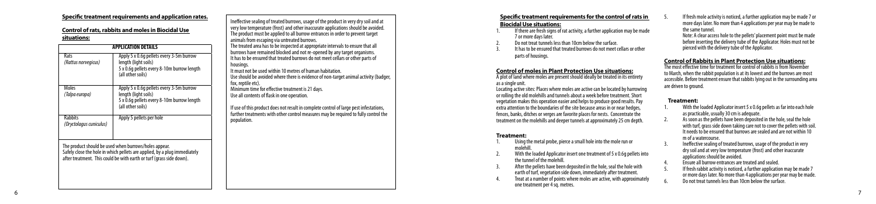# **Specific treatment requirements and application rates.**

# **Control of rats, rabbits and moles in Biocidal Use situations:**

| <b>APPLICATION DETAILS</b>                |                                                                                                                                                                                                            |  |
|-------------------------------------------|------------------------------------------------------------------------------------------------------------------------------------------------------------------------------------------------------------|--|
| Rats<br>(Rattus norvegicus)               | Apply 5 x 0.6q pellets every 3-5m burrow<br>length (light soils)<br>5 x 0.6q pellets every 8-10m burrow length<br>(all other soils)                                                                        |  |
| Moles<br>(Talpa europa)                   | Apply 5 x 0.6q pellets every 3-5m burrow<br>length (light soils)<br>5 x 0.6q pellets every 8-10m burrow length<br>(all other soils)                                                                        |  |
| <b>Rabbits</b><br>(Oryctolagus cuniculus) | Apply 5 pellets per hole                                                                                                                                                                                   |  |
|                                           | The product should be used when burrows/holes appear.<br>Safely close the hole in which pellets are applied, by a plug immediately<br>after treatment. This could be with earth or turf (grass side down). |  |

6

Ineffective sealing of treated burrows, usage of the product in very dry soil and at very low temperature (frost) and other inaccurate applications should be avoided. The product must be applied to all burrow entrances in order to prevent target animals from escaping via untreated burrows.

The treated area has to be inspected at appropriate intervals to ensure that all burrows have remained blocked and not re-opened by any target organisms. It has to be ensured that treated burrows do not meet cellars or other parts of housings.

It must not be used within 10 metres of human habitation. Use should be avoided where there is evidence of non-target animal activity (badger, fox, reptile etc).

Minimum time for effective treatment is 21 days. Use all contents of flask in one operation.

If use of this product does not result in complete control of large pest infestations, further treatments with other control measures may be required to fully control the population.

# **Specific treatment requirements for the control of rats in Biocidal Use situations:**

- If there are fresh signs of rat activity, a further application may be made 7 or more days later.
- 2. Do not treat tunnels less than 10cm below the surface.
- 3. It has to be ensured that treated burrows do not meet cellars or other parts of housings.

# **Control of moles in Plant Protection Use situations:**

A plot of land where moles are present should ideally be treated in its entirety as a single unit.

Locating active sites: Places where moles are active can be located by harrowing or rolling the old molehills and tunnels about a week before treatment. Short vegetation makes this operation easier and helps to produce good results. Pay extra attention to the boundaries of the site because areas in or near hedges, fences, banks, ditches or verges are favorite places for nests. Concentrate the treatment on the molehills and deeper tunnels at approximately 25 cm depth.

### **Treatment:**

- 1. Using the metal probe, pierce a small hole into the mole run or molehill.
- With the loaded Applicator insert one treatment of 5 x 0.6g pellets into the tunnel of the molehill.
- 3. After the pellets have been deposited in the hole, seal the hole with earth of turf, vegetation side down, immediately after treatment.
- Treat at a number of points where moles are active, with approximately one treatment per 4 sq. metres.
- 5. If fresh mole activity is noticed, a further application may be made 7 or more days later. No more than 4 applications per year may be made to
- Note: A clear access hole to the pellets' placement point must be made before inserting the delivery tube of the Applicator. Holes must not be pierced with the delivery tube of the Applicator.

### **Control of Rabbits in Plant Protection Use situations:**

The most effective time for treatment for control of rabbits is from November to March, when the rabbit population is at its lowest and the burrows are most accessible. Before treatment ensure that rabbits lying out in the surrounding area are driven to ground.

### **Treatment:**

- With the loaded Applicator insert 5 x 0.6g pellets as far into each hole as practicable, usually 30 cm is adequate.
- As soon as the pellets have been deposited in the hole, seal the hole with turf, grass side down taking care not to cover the pellets with soil. It needs to be ensured that burrows are sealed and are not within 10 m of a watercourse.
- Ineffective sealing of treated burrows, usage of the product in very dry soil and at very low temperature (frost) and other inaccurate applications should be avoided.
- 4. Ensure all burrow entrances are treated and sealed.
- 5. If fresh rabbit activity is noticed, a further application may be made 7 or more days later. No more than 4 applications per year may be made. Do not treat tunnels less than 10cm below the surface.

7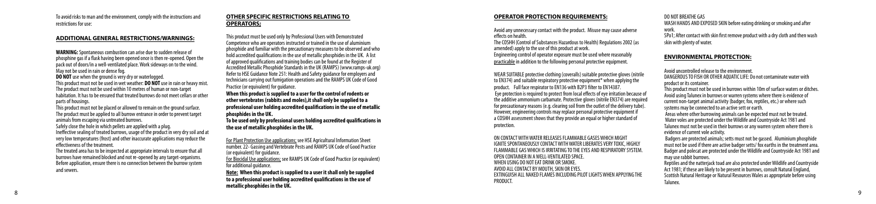To avoid risks to man and the environment, comply with the instructions and restrictions for use:

### **ADDITIONAL GENERAL RESTRICTIONS/WARNINGS:**

**WARNING:** Spontaneous combustion can arise due to sudden release of phosphine gas if a flask having been opened once is then re-opened. Open the pack out of doors/in a well-ventilated place. Work sideways on to the wind. May not be used in rain or dense fog.

**DO NOT** use when the ground is very dry or waterlogged. This product must not be used in wet weather: **DO NOT** use in rain or heavy mist. The product must not be used within 10 metres of human or non-target habitation. It has to be ensured that treated burrows do not meet cellars or other parts of housings.

This product must not be placed or allowed to remain on the ground surface. The product must be applied to all burrow entrance in order to prevent target animals from escaping via untreated burrows.

Safely close the hole in which pellets are applied with a plug.

8

Ineffective sealing of treated burrows, usage of the product in very dry soil and at very low temperatures (frost) and other inaccurate applications may reduce the effectiveness of the treatment.

The treated area has to be inspected at appropriate intervals to ensure that all burrows have remained blocked and not re-opened by any target-organisms. Before application, ensure there is no connection between the burrow system and sewers.

### **OTHER SPECIFIC RESTRICTIONS RELATING TO OPERATORS;**

This product must be used only by Professional Users with Demonstrated Competence who are operators instructed or trained in the use of aluminium phosphide and familiar with the precautionary measures to be observed and who hold accredited qualifications in the use of metallic phosphides in the UK. A list of approved qualifications and training bodies can be found at the Register of Accredited Metallic Phosphide Standards in the UK (RAMPS) (www.ramps-uk.org) Refer to HSE Guidance Note 251: Health and Safety guidance for employers and technicians carrying out fumigation operations and the RAMPS UK Code of Good Practice (or equivalent) for quidance.

**When this product is supplied to a user for the control of rodents or other vertebrates (rabbits and moles),it shall only be supplied to a professional user holding accredited qualifications in the use of metallic phosphides in the UK.**

**To be used only by professional users holding accredited qualifications in the use of metallic phosphides in the UK.** 

For Plant Protection Use applications; see HSE Agricultural Information Sheet number. 22- Gassing and Vertebrate Pests and RAMPS UK Code of Good Practice (or equivalent) for guidance.

For Biocidal Use applications; see RAMPS UK Code of Good Practice (or equivalent) for additional guidance.

**Note: When this product is supplied to a user it shall only be supplied to a professional user holding accredited qualifications in the use of metallic phosphides in the UK.** 

# **OPERATOR PROTECTION REQUIREMENTS:**

Avoid any unnecessary contact with the product. Misuse may cause adverse effects on health. The COSHH (Control of Substances Hazardous to Health) Regulations 2002 (as

amended) apply to the use of this product at work. Engineering control of operator exposure must be used where reasonably practicable in addition to the following personal protective equipment.

WEAR SUITABLE protective clothing (coveralls) suitable protective gloves (nitrile to EN374) and suitable respiratory protective equipment\* when applying the product. Full face respirator to EN136 with B2P3 filter to EN14387. Eye protection is required to protect from local effects of eye irritation because of the additive ammonium carbamate. Protective gloves (nitrile EN374) are required for precautionary reasons (e.g. clearing soil from the outlet of the delivery tube). However, engineering controls may replace personal protective equipment if a COSHH assessment shows that they provide an equal or higher standard of protection.

ON CONTACT WITH WATER RELEASES FLAMMABLE GASES WHICH MIGHT IGNITE SPONTANEOUSLY CONTACT WITH WATER LIBERATES VERY TOXIC, HIGHLY FLAMMABLE GAS WHICH IS IRRITATING TO THE EYES AND RESPIRATORY SYSTEM. OPEN CONTAINER IN A WELL-VENTILATED SPACE. WHEN USING DO NOT EAT DRINK OR SMOKE. AVOID ALL CONTACT BY MOUTH, SKIN OR EYES. EXTINGUISH ALL NAKED FLAMES INCLUDING PILOT LIGHTS WHEN APPLYING THE **PRODUCT** 

DO NOT BREATHE GAS WASH HANDS AND EXPOSED SKIN before eating drinking or smoking and after work. SPo1; After contact with skin first remove product with a dry cloth and then wash skin with plenty of water.

# **ENVIRONMENTAL PROTECTION:**

Avoid uncontrolled release to the environment. DANGEROUS TO FISH OR OTHER AQUATIC LIFE: Do not contaminate water with product or its container.

This product must not be used in burrows within 10m of surface waters or ditches. Avoid using Talunex in burrows or warren systems where there is evidence of current non-target animal activity (badger, fox, reptiles, etc.) or where such systems may be connected to an active sett or earth.

 Areas where other burrowing animals can be expected must not be treated. Water voles are protected under the Wildlife and Countryside Act 1981 and Talunex must not be used in their burrows or any warren system where there is evidence of current vole activity.

 Badgers are protected animals; setts must not be gassed. Aluminium phosphide must not be used if there are active badger setts/ fox earths in the treatment area. Badger and polecat are protected under the Wildlife and Countryside Act 1981 and may use rabbit burrows.

Reptiles and the natterjack toad are also protected under Wildlife and Countryside Act 1981; if these are likely to be present in burrows, consult Natural England, Scottish Natural Heritage or Natural Resources Wales as appropriate before using Talunex.

9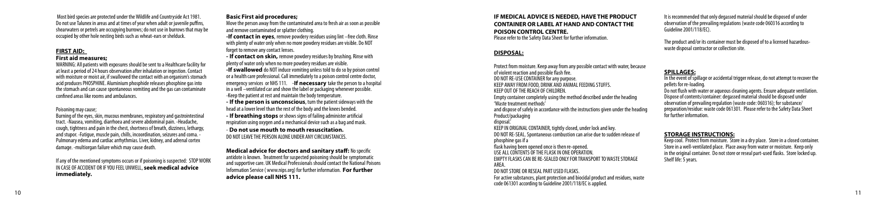Most bird species are protected under the Wildlife and Countryside Act 1981. Do not use Talunex in areas and at times of year when adult or juvenile puffins, shearwaters or petrels are occupying burrows; do not use in burrows that may be occupied by other hole nesting birds such as wheat-ears or shelduck.

# **FIRST AID:**

### **First aid measures;**

WARNING: All patients with exposures should be sent to a Healthcare facility for at least a period of 24 hours observation after inhalation or ingestion. Contact with moisture or moist air, if swallowed the contact with an organism's stomach acid produces PHOSPHINE. Aluminium phosphide releases phosphine gas into the stomach and can cause spontaneous vomiting and the gas can contaminate confined areas like rooms and ambulances.

### Poisoning may cause;

Burning of the eyes, skin, mucous membranes, respiratory and gastrointestinal tract. -Nausea, vomiting, diarrhoea and severe abdominal pain. -Headache, cough, tightness and pain in the chest, shortness of breath, dizziness, lethargy, and stupor. -Fatigue, muscle pain, chills, incoordination, seizures and coma. -Pulmonary edema and cardiac arrhythmias. Liver, kidney, and adrenal cortex damage. -multiorgan failure which may cause death.

If any of the mentioned symptoms occurs or if poisoning is suspected: STOP WORK IN CASE OF ACCIDENT OR IF YOU FEEL UNWELL, **seek medical advice immediately.** 

### **Basic First aid procedures;**

Move the person away from the contaminated area to fresh air as soon as possible and remove contaminated or splatter clothing.

**-If contact in eyes**, remove powdery residues using lint –free cloth. Rinse with plenty of water only when no more powdery residues are visible. Do NOT forget to remove any contact lenses.

**- If contact on skin,** remove powdery residues by brushing. Rinse with plenty of water only when no more powdery residues are visible.

**-If swallowed** do NOT induce vomiting unless told to do so by poison control or a health care professional. Call immediately to a poison control centre doctor, emergency services or NHS 111. -**If necessary** take the person to a hospital in a well –ventilated car and show the label or packaging whenever possible. -Keep the patient at rest and maintain the body temperature.

**- If the person is unconscious**, turn the patient sideways with the head at a lower level than the rest of the body and the knees bended.

**- If breathing stops** or shows signs of failing administer artificial respiration using oxygen and a mechanical device such as a bag and mask.

- **Do not use mouth to mouth resuscitation.**  DO NOT LEAVE THE PERSON ALONE UNDER ANY CIRCUMSTANCES.

**Medical advice for doctors and sanitary staff:** No specific antidote is known. Treatment for suspected poisoning should be symptomatic and supportive care. UK Medical Professionals should contact the National Poisons Information Service ( www.nips.org) for further information. **For further advice please call NHS 111.**

**IF MEDICAL ADVICE IS NEEDED, HAVE THE PRODUCT CONTAINER OR LABEL AT HAND AND CONTACT THE POISON CONTROL CENTRE.** Please refer to the Safety Data Sheet for further information.

# **DISPOSAL:**

Protect from moisture. Keep away from any possible contact with water, because of violent reaction and possible flash fire. DO NOT RE-USE CONTAINER for any purpose. KEEP AWAY FROM FOOD, DRINK AND ANIMAL FEEDING STUFFS. KEEP OUT OF THE REACH OF CHILDREN. Empty container completely using the method described under the heading 'Waste treatment methods' and dispose of safely in accordance with the instructions given under the heading Product/packaging disposal.' KEEP IN ORIGINAL CONTAINER, tightly closed, under lock and key. DO NOT RE-SEAL. Spontaneous combustion can arise due to sudden release of phosphine gas if a flask having been opened once is then re-opened. USE ALL CONTENTS OF THE FLASK IN ONE OPERATION. EMPTY FLASKS CAN BE RE-SEALED ONLY FOR TRANSPORT TO WASTE STORAGE AREA. DO NOT STORE OR RESEAL PART USED FLASKS. For active substances, plant protection and biocidal product and residues, waste code 061301 according to Guideline 2001/118/EC is applied.

It is recommended that only degassed material should be disposed of under observation of the prevailing regulations (waste code 060316 according to Guideline 2001/118/EC).

The product and/or its container must be disposed of to a licensed hazardouswaste disposal contractor or collection site.

# **SPILLAGES:**

In the event of spillage or accidental trigger release, do not attempt to recover the pellets for re-loading.

Do not flush with water or aqueous cleaning agents. Ensure adequate ventilation. Dispose of contents/container: degassed material should be disposed under observation of prevailing regulation (waste code: 060316); for substance/ preparation/residue: waste code 061301. Please refer to the Safety Data Sheet for further information.

### **STORAGE INSTRUCTIONS:**

Keep cool. Protect from moisture. Store in a dry place. Store in a closed container. Store in a well-ventilated place. Place away from water or moisture. Keep only in the original container. Do not store or reseal part-used flasks. Store locked up. Shelf life: 5 years.